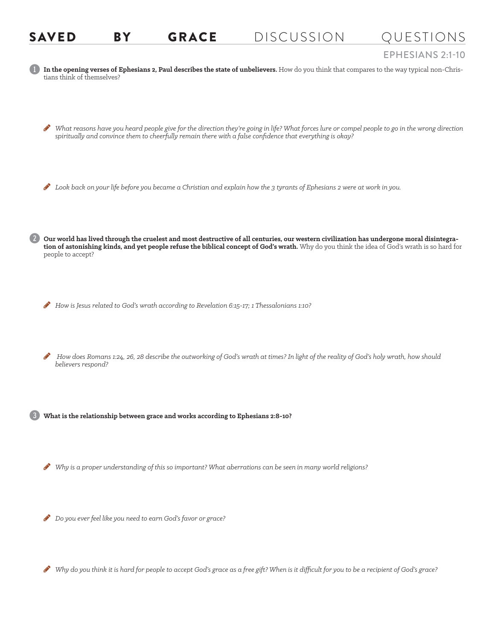